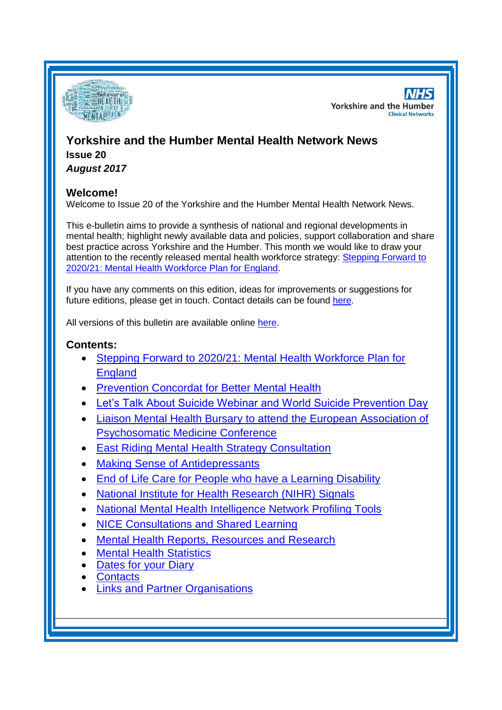

**NHS Yorkshire and the Humber Clinical Networks** 

# **Yorkshire and the Humber Mental Health Network News Issue 20**

*August 2017*

### **Welcome!**

Welcome to Issue 20 of the Yorkshire and the Humber Mental Health Network News.

This e-bulletin aims to provide a synthesis of national and regional developments in mental health; highlight newly available data and policies, support collaboration and share best practice across Yorkshire and the Humber. This month we would like to draw your attention to the recently released mental health workforce strategy: [Stepping Forward to](#page-1-0)  [2020/21: Mental Health Workforce Plan for England.](#page-1-0)

If you have any comments on this edition, ideas for improvements or suggestions for future editions, please get in touch. Contact details can be found [here.](#page-7-0)

All versions of this bulletin are available online [here.](http://www.yhscn.nhs.uk/mental-health-clinic/mental-health-network/MH-documents-and-links.php)

### **Contents:**

- [Stepping Forward to 2020/21: Mental Health Workforce Plan for](#page-1-0)  [England](#page-1-0)
- [Prevention Concordat for Better Mental Health](#page-1-1)
- [Let's Talk About Suicide Webinar and World Suicide Prevention Day](#page-1-1)
- [Liaison Mental Health Bursary to attend the European Association of](#page-2-0)  [Psychosomatic Medicine Conference](#page-2-0)
- [East Riding Mental Health Strategy Consultation](#page-2-0)
- [Making Sense of Antidepressants](#page-2-1)
- [End of Life Care for People who have a Learning Disability](#page-2-2)
- [National Institute for Health Research \(NIHR\) Signals](#page-3-0)
- [National Mental Health Intelligence Network Profiling Tools](#page-1-0)
- [NICE Consultations and Shared Learning](#page-3-1)
- [Mental Health Reports, Resources and Research](#page-1-0)
- **[Mental Health Statistics](#page-4-0)**
- [Dates for your](#page-4-1) Diary
- **[Contacts](#page-7-0)**
- [Links and Partner Organisations](#page-7-1)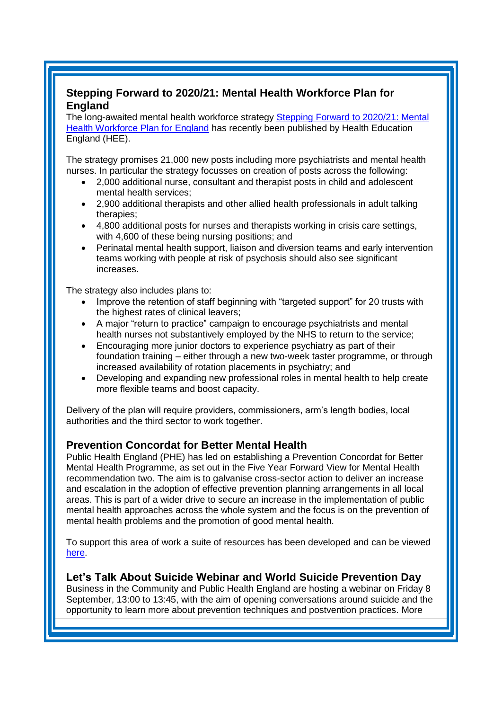### <span id="page-1-0"></span>**Stepping Forward to 2020/21: Mental Health Workforce Plan for England**

The long-awaited mental health workforce strategy [Stepping Forward to 2020/21: Mental](https://www.hee.nhs.uk/our-work/person-centred-care/mental-health/mental-health-workforce-plan)  [Health Workforce Plan for England](https://www.hee.nhs.uk/our-work/person-centred-care/mental-health/mental-health-workforce-plan) has recently been published by Health Education England (HEE).

The strategy promises 21,000 new posts including more psychiatrists and mental health nurses. In particular the strategy focusses on creation of posts across the following:

- 2,000 additional nurse, consultant and therapist posts in child and adolescent mental health services;
- 2,900 additional therapists and other allied health professionals in adult talking therapies;
- 4,800 additional posts for nurses and therapists working in crisis care settings, with 4,600 of these being nursing positions; and
- Perinatal mental health support, liaison and diversion teams and early intervention teams working with people at risk of psychosis should also see significant increases.

The strategy also includes plans to:

- Improve the retention of staff beginning with "targeted support" for 20 trusts with the highest rates of clinical leavers;
- A major "return to practice" campaign to encourage psychiatrists and mental health nurses not substantively employed by the NHS to return to the service;
- Encouraging more junior doctors to experience psychiatry as part of their foundation training – either through a new two-week taster programme, or through increased availability of rotation placements in psychiatry; and
- Developing and expanding new professional roles in mental health to help create more flexible teams and boost capacity.

Delivery of the plan will require providers, commissioners, arm's length bodies, local authorities and the third sector to work together.

### <span id="page-1-1"></span>**Prevention Concordat for Better Mental Health**

Public Health England (PHE) has led on establishing a Prevention Concordat for Better Mental Health Programme, as set out in the Five Year Forward View for Mental Health recommendation two. The aim is to galvanise cross-sector action to deliver an increase and escalation in the adoption of effective prevention planning arrangements in all local areas. This is part of a wider drive to secure an increase in the implementation of public mental health approaches across the whole system and the focus is on the prevention of mental health problems and the promotion of good mental health.

To support this area of work a suite of resources has been developed and can be viewed [here.](https://www.gov.uk/government/publications/prevention-concordat-for-better-mental-health-planning-resource)

**Let's Talk About Suicide Webinar and World Suicide Prevention Day** Business in the Community and Public Health England are hosting a webinar on Friday 8 September, 13:00 to 13:45, with the aim of opening conversations around suicide and the opportunity to learn more about prevention techniques and postvention practices. More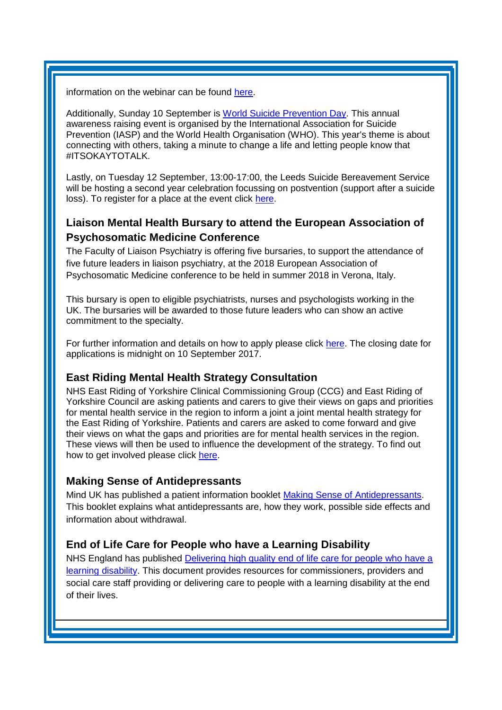information on the webinar can be found [here.](https://www.bitc.org.uk/news-events/events/let%E2%80%99s-talk-about-suicide?_cldee=cmViZWNjYS5jYW1wYmVsbDZAbmhzLm5ldA%3d%3d&recipientid=contact-969490ae03f0e61180f3c4346bad10a0-975e87ccb22143beb23e90d8343e6903&esid=c90acff7-cf76-e711-810d-e0071b6670e1&urlid=35)

Additionally, Sunday 10 September is [World Suicide Prevention Day.](https://iasp.info/wspd2017/) This annual awareness raising event is organised by the International Association for Suicide Prevention (IASP) and the World Health Organisation (WHO). This year's theme is about connecting with others, taking a minute to change a life and letting people know that #ITSOKAYTOTALK.

Lastly, on Tuesday 12 September, 13:00-17:00, the Leeds Suicide Bereavement Service will be hosting a second year celebration focussing on postvention (support after a suicide loss). To register for a place at the event click [here.](https://www.eventbrite.com/e/leeds-suicide-bereavement-service-second-year-celebration-tickets-35968236965)

## <span id="page-2-0"></span>**Liaison Mental Health Bursary to attend the European Association of Psychosomatic Medicine Conference**

The Faculty of Liaison Psychiatry is offering five bursaries, to support the attendance of five future leaders in liaison psychiatry, at the 2018 European Association of Psychosomatic Medicine conference to be held in summer 2018 in Verona, Italy.

This bursary is open to eligible psychiatrists, nurses and psychologists working in the UK. The bursaries will be awarded to those future leaders who can show an active commitment to the specialty.

For further information and details on how to apply please click [here.](http://www.rcpsych.ac.uk/workinpsychiatry/faculties/liaison/prizesandbursaries.aspx?dm_t=0,0,0,0,0) The closing date for applications is midnight on 10 September 2017.

### **East Riding Mental Health Strategy Consultation**

NHS East Riding of Yorkshire Clinical Commissioning Group (CCG) and East Riding of Yorkshire Council are asking patients and carers to give their views on gaps and priorities for mental health service in the region to inform a joint a joint mental health strategy for the East Riding of Yorkshire. Patients and carers are asked to come forward and give their views on what the gaps and priorities are for mental health services in the region. These views will then be used to influence the development of the strategy. To find out how to get involved please click [here.](http://www.eastridingofyorkshireccg.nhs.uk/news/?post=shaping-a-mindful-future-n-have-your-say-on-new-mental-health-strategy-for-east-riding-of-yorkshire)

### <span id="page-2-1"></span>**Making Sense of Antidepressants**

Mind UK has published a patient information booklet [Making Sense of Antidepressants.](https://www.mind.org.uk/information-support/drugs-and-treatments/antidepressants/#.WZRJW7aQzct) This booklet explains what antidepressants are, how they work, possible side effects and information about withdrawal.

### <span id="page-2-2"></span>**End of Life Care for People who have a Learning Disability**

NHS England has published [Delivering high quality end of life care for people who have a](https://www.england.nhs.uk/publication/delivering-high-quality-end-of-life-care-for-people-who-have-a-learning-disability/)  [learning disability.](https://www.england.nhs.uk/publication/delivering-high-quality-end-of-life-care-for-people-who-have-a-learning-disability/) This document provides resources for commissioners, providers and social care staff providing or delivering care to people with a learning disability at the end of their lives.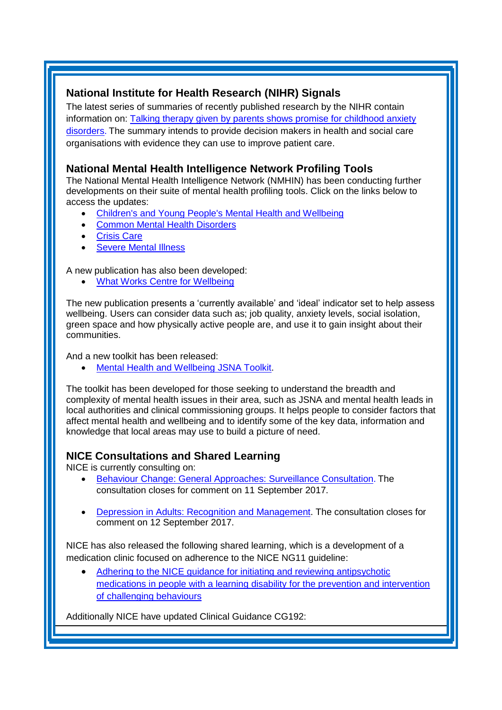### <span id="page-3-0"></span>**National Institute for Health Research (NIHR) Signals**

The latest series of summaries of recently published research by the NIHR contain information on: [Talking therapy given by parents shows promise for childhood anxiety](https://discover.dc.nihr.ac.uk/portal/article/4000746/talking-therapy-given-by-parents-shows-promise-for-childhood-anxiety-disorders)  [disorders.](https://discover.dc.nihr.ac.uk/portal/article/4000746/talking-therapy-given-by-parents-shows-promise-for-childhood-anxiety-disorders) The summary intends to provide decision makers in health and social care organisations with evidence they can use to improve patient care.

### **National Mental Health Intelligence Network Profiling Tools**

The National Mental Health Intelligence Network (NMHIN) has been conducting further developments on their suite of mental health profiling tools. Click on the links below to access the updates:

- [Children's and Young People's Mental Health and Wellbeing](http://fingertips.phe.org.uk/profile-group/mental-health/profile/cypmh)
- Common [Mental Health Disorders](https://fingertips.phe.org.uk/profile-group/mental-health/profile/common-mental-disorders)
- **[Crisis Care](https://fingertips.phe.org.uk/profile-group/mental-health/profile/crisis-care)**
- [Severe Mental Illness](http://fingertips.phe.org.uk/profile-group/mental-health/profile/severe-mental-illness)

A new publication has also been developed:

[What Works Centre for Wellbeing](https://www.whatworkswellbeing.org/blog/what-wellbeing-data-do-local-authorities-need-to-make-better-decisions/)

The new publication presents a 'currently available' and 'ideal' indicator set to help assess wellbeing. Users can consider data such as; job quality, anxiety levels, social isolation, green space and how physically active people are, and use it to gain insight about their communities.

And a new toolkit has been released:

[Mental Health and Wellbeing JSNA Toolkit.](https://www.gov.uk/government/publications/better-mental-health-jsna-toolkit)

The toolkit has been developed for those seeking to understand the breadth and complexity of mental health issues in their area, such as JSNA and mental health leads in local authorities and clinical commissioning groups. It helps people to consider factors that affect mental health and wellbeing and to identify some of the key data, information and knowledge that local areas may use to build a picture of need.

### <span id="page-3-1"></span>**NICE Consultations and Shared Learning**

NICE is currently consulting on:

- [Behaviour Change: General Approaches: Surveillance Consultation.](https://www.nice.org.uk/guidance/ph6/consultation/html-content) The consultation closes for comment on 11 September 2017.
- [Depression in Adults: Recognition and Management.](https://www.nice.org.uk/guidance/indevelopment/gid-cgwave0725/consultation/html-content) The consultation closes for comment on 12 September 2017.

NICE has also released the following shared learning, which is a development of a medication clinic focused on adherence to the NICE NG11 guideline:

 [Adhering to the NICE guidance for initiating and reviewing antipsychotic](https://www.nice.org.uk/sharedlearning/adhering-to-the-nice-guidance-for-initiating-and-reviewing-antipsychotic-medications-in-people-with-a-learning-disability-for-the-prevention-and-intervention-of-challenging-behaviours)  [medications in people with a learning disability for the prevention and intervention](https://www.nice.org.uk/sharedlearning/adhering-to-the-nice-guidance-for-initiating-and-reviewing-antipsychotic-medications-in-people-with-a-learning-disability-for-the-prevention-and-intervention-of-challenging-behaviours)  [of challenging behaviours](https://www.nice.org.uk/sharedlearning/adhering-to-the-nice-guidance-for-initiating-and-reviewing-antipsychotic-medications-in-people-with-a-learning-disability-for-the-prevention-and-intervention-of-challenging-behaviours)

Additionally NICE have updated Clinical Guidance CG192: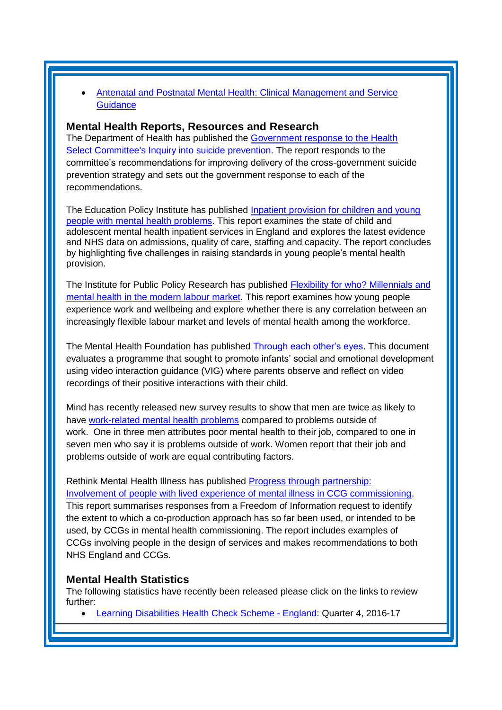[Antenatal and Postnatal Mental Health: Clinical Management and Service](https://www.nice.org.uk/guidance/cg192)  **[Guidance](https://www.nice.org.uk/guidance/cg192)** 

#### **Mental Health Reports, Resources and Research**

The Department of Health has published the [Government response to the Health](https://www.gov.uk/government/publications/suicide-prevention-response-to-health-select-committee)  [Select Committee's Inquiry into suicide prevention.](https://www.gov.uk/government/publications/suicide-prevention-response-to-health-select-committee) The report responds to the committee's recommendations for improving delivery of the cross-government suicide prevention strategy and sets out the government response to each of the recommendations.

The Education Policy Institute has published [Inpatient provision for children and young](https://epi.org.uk/report/inpatient-children-mental-health/)  [people with mental health problems.](https://epi.org.uk/report/inpatient-children-mental-health/) This report examines the state of child and adolescent mental health inpatient services in England and explores the latest evidence and NHS data on admissions, quality of care, staffing and capacity. The report concludes by highlighting five challenges in raising standards in young people's mental health provision.

The Institute for Public Policy Research has published [Flexibility for who? Millennials and](https://www.ippr.org/research/publications/flexibility-for-who)  [mental health in the modern labour market.](https://www.ippr.org/research/publications/flexibility-for-who) This report examines how young people experience work and wellbeing and explore whether there is any correlation between an increasingly flexible labour market and levels of mental health among the workforce.

The Mental Health Foundation has published [Through each other's eyes.](https://www.mentalhealth.org.uk/publications/through-each-others-eyes-evaluation) This document evaluates a programme that sought to promote infants' social and emotional development using video interaction guidance (VIG) where parents observe and reflect on video recordings of their positive interactions with their child.

Mind has recently released new survey results to show that men are twice as likely to have [work-related mental health problems](https://www.mind.org.uk/news-campaigns/news/mind-survey-finds-men-more-likely-to-experience-work-related-mental-health-problems/#.WYrff7aQzct) compared to problems outside of work. One in three men attributes poor mental health to their job, compared to one in seven men who say it is problems outside of work. Women report that their job and problems outside of work are equal contributing factors.

Rethink Mental Health Illness has published [Progress through partnership:](https://www.rethink.org/news-views/2017/8/co-production-should-be-the-norm-not-the-exception)  [Involvement of people with lived experience of mental illness in CCG commissioning.](https://www.rethink.org/news-views/2017/8/co-production-should-be-the-norm-not-the-exception) This report summarises responses from a Freedom of Information request to identify the extent to which a co-production approach has so far been used, or intended to be used, by CCGs in mental health commissioning. The report includes examples of CCGs involving people in the design of services and makes recommendations to both NHS England and CCGs.

#### <span id="page-4-0"></span>**Mental Health Statistics**

The following statistics have recently been released please click on the links to review further:

<span id="page-4-1"></span>[Learning Disabilities Health Check Scheme -](http://digital.nhs.uk/catalogue/PUB30047) England: Quarter 4, 2016-17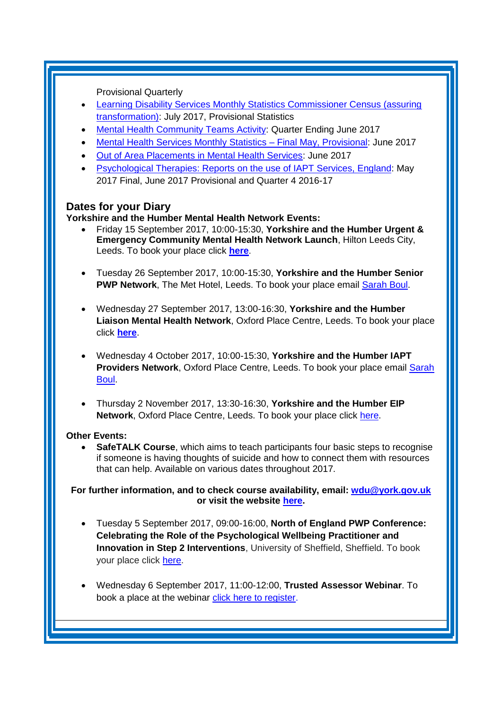Provisional Quarterly

- [Learning Disability Services Monthly Statistics Commissioner Census \(assuring](https://www.gov.uk/government/statistics/learning-disability-services-monthly-statistics-commissioner-census-assuring-transformation-jul-2017)  [transformation\):](https://www.gov.uk/government/statistics/learning-disability-services-monthly-statistics-commissioner-census-assuring-transformation-jul-2017) July 2017, Provisional Statistics
- **[Mental Health Community Teams Activity:](https://www.england.nhs.uk/statistics/2017/08/11/mental-health-community-teams-activity-quarter-ending-june-2017/) Quarter Ending June 2017**
- **Mental Health Services Monthly Statistics Final May, Provisional: June 2017**
- [Out of Area Placements in Mental Health Services:](https://www.gov.uk/government/statistics/out-of-area-placements-in-mental-health-services-jun-2017) June 2017
- [Psychological Therapies: Reports on the use of IAPT Services, England:](https://www.gov.uk/government/statistics/psychological-therapies-reports-on-the-use-of-iapt-services-england-may-2017-final) May 2017 Final, June 2017 Provisional and Quarter 4 2016-17

### **Dates for your Diary**

#### **Yorkshire and the Humber Mental Health Network Events:**

- Friday 15 September 2017, 10:00-15:30, **Yorkshire and the Humber Urgent & Emergency Community Mental Health Network Launch**, Hilton Leeds City, Leeds. To book your place click **[here](https://www.eventbrite.co.uk/e/yorkshire-and-the-humber-urgent-emergency-community-mental-health-network-launch-tickets-35933404781)**.
- Tuesday 26 September 2017, 10:00-15:30, **Yorkshire and the Humber Senior PWP Network**, The Met Hotel, Leeds. To book your place email [Sarah Boul.](mailto:sarah.boul@nhs.net)
- Wednesday 27 September 2017, 13:00-16:30, **Yorkshire and the Humber Liaison Mental Health Network**, Oxford Place Centre, Leeds. To book your place click **[here](https://www.eventbrite.co.uk/e/yorkshire-and-the-humber-liaison-mental-health-network-meeting-tickets-34572375907)**.
- Wednesday 4 October 2017, 10:00-15:30, **Yorkshire and the Humber IAPT Providers Network**, Oxford Place Centre, Leeds. To book your place email [Sarah](mailto:sarah.boul@nhs.net)  [Boul.](mailto:sarah.boul@nhs.net)
- Thursday 2 November 2017, 13:30-16:30, **Yorkshire and the Humber EIP Network**, Oxford Place Centre, Leeds. To book your place click [here.](https://www.eventbrite.co.uk/e/yorkshire-and-the-humber-eip-network-tickets-37305556925)

#### **Other Events:**

 **SafeTALK Course**, which aims to teach participants four basic steps to recognise if someone is having thoughts of suicide and how to connect them with resources that can help. Available on various dates throughout 2017.

**For further information, and to check course availability, email: [wdu@york.gov.uk](mailto:wdu@york.gov.uk) or visit the website [here.](http://www.yorkworkforcedevelopment.org.uk/)**

- Tuesday 5 September 2017, 09:00-16:00, **North of England PWP Conference: Celebrating the Role of the Psychological Wellbeing Practitioner and Innovation in Step 2 Interventions**, University of Sheffield, Sheffield. To book your place click [here.](http://www.nwppn.nhs.uk/index.php/events/05-09-17-north-of-england-pwp-conference)
- Wednesday 6 September 2017, 11:00-12:00, **Trusted Assessor Webinar**. To book a place at the webinar [click here to register](https://healthsector.webex.com/healthsector/j.php?RGID=r27c7abfb7c39a9cd29b9fc38c43231a3)[.](https://healthsector.webex.com/mw3000/mywebex/default.do?service=1&siteurl=healthsector&nomenu=true&main_url=%2Fmc3000%2Fe.do%3Fsiteurl%3Dhealthsector%26AT%3DMI%26EventID%3D525763292%26UID%3D0%26Host%3DQUhTSwAAAAQwZNNS5bQ-WTOzxcvMDuGBjIJDv4jTt9DmT-z-mB5DklTaJOb3muw6BFUwQE84GXN__88c2Vrwq4OmZKjT9ikK0%26RG%3D1%26FrameSet%3D2%26RGID%3Dr7b735905e9a0d6eb8f328a3fb6463007)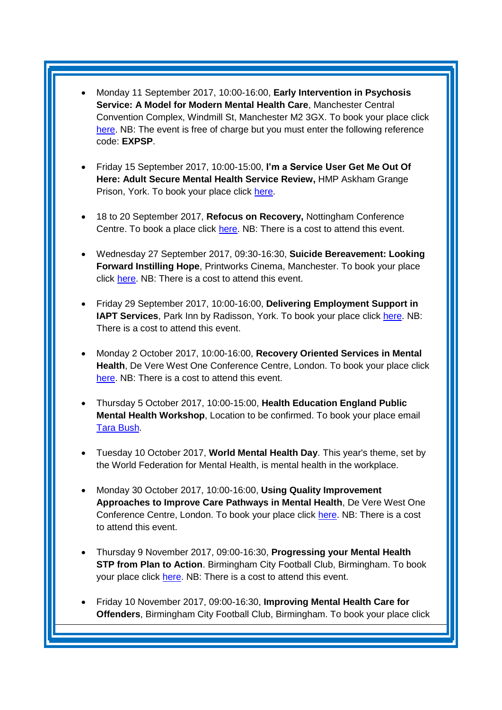- Monday 11 September 2017, 10:00-16:00, **Early Intervention in Psychosis Service: A Model for Modern Mental Health Care**, Manchester Central Convention Complex, Windmill St, Manchester M2 3GX. To book your place click [here.](https://www.eventsforce.net/dods/frontend/reg/tRegisterEmailNew.csp?pageID=2041478&eventID=5760&tempPersonID=1360065&eventID=5760) NB: The event is free of charge but you must enter the following reference code: **EXPSP**.
- Friday 15 September 2017, 10:00-15:00, **I'm a Service User Get Me Out Of Here: Adult Secure Mental Health Service Review,** HMP Askham Grange Prison, York. To book your place click [here.](https://www.eventbrite.co.uk/e/im-a-service-user-get-me-out-of-here-tickets-36270742768?utm_term=eventurl_text)
- 18 to 20 September 2017, **Refocus on Recovery,** Nottingham Conference Centre. To book a place click [here.](https://www.eventbrite.com/e/refocus-on-recovery-conference-2017-registration-28525132439) NB: There is a cost to attend this event.
- Wednesday 27 September 2017, 09:30-16:30, **Suicide Bereavement: Looking Forward Instilling Hope**, Printworks Cinema, Manchester. To book your place click [here.](https://dl.dropboxusercontent.com/u/5311451/3233_Suicide_Bereavement_Conference_flyer_2017_v6.pdf) NB: There is a cost to attend this event.
- Friday 29 September 2017, 10:00-16:00, **Delivering Employment Support in IAPT Services**, Park Inn by Radisson, York. To book your place click [here.](http://www.iapt-nnf.co.uk/Home/ViewEvent/71?utm_source=SBK%20Healthcare&utm_medium=email&utm_campaign=8412308_1784PT%201st%20email&dm_i=1SB0,50AZ8,MCTTTA,J380M,1) NB: There is a cost to attend this event.
- Monday 2 October 2017, 10:00-16:00, **Recovery Oriented Services in Mental Health**, De Vere West One Conference Centre, London. To book your place click [here.](https://www.healthcareconferencesuk.co.uk/event/1152) NB: There is a cost to attend this event.
- Thursday 5 October 2017, 10:00-15:00, **Health Education England Public Mental Health Workshop**, Location to be confirmed. To book your place email [Tara Bush.](mailto:tara.bush@hee.nhs.uk)
- Tuesday 10 October 2017, **World Mental Health Day**. This year's theme, set by the World Federation for Mental Health, is mental health in the workplace.
- Monday 30 October 2017, 10:00-16:00, **Using Quality Improvement Approaches to Improve Care Pathways in Mental Health**, De Vere West One Conference Centre, London. To book your place click [here.](https://www.healthcareconferencesuk.co.uk/event/1325/book) NB: There is a cost to attend this event.
- Thursday 9 November 2017, 09:00-16:30, **Progressing your Mental Health STP from Plan to Action**. Birmingham City Football Club, Birmingham. To book your place click [here.](http://www.sbk-healthcare.co.uk/booking/index/2263/?utm_source=SBK%20Healthcare&utm_medium=email&utm_campaign=8555067_1793MH%201st%20email) NB: There is a cost to attend this event.
- Friday 10 November 2017, 09:00-16:30, **Improving Mental Health Care for Offenders**, Birmingham City Football Club, Birmingham. To book your place click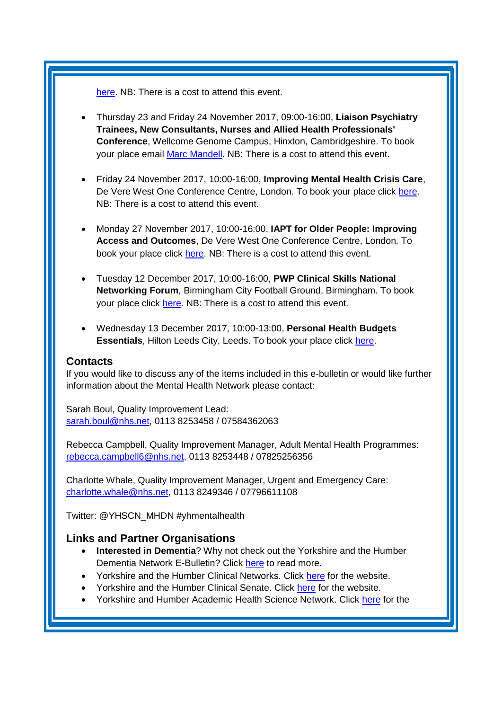[here.](http://www.sbk-healthcare.co.uk/home/title/2259/nhsconference/improving-mental-health-care-for-offenders/?utm_source=SBK%20Healthcare&utm_medium=email&utm_campaign=8521670_1794MH%201st%20email#agenda) NB: There is a cost to attend this event.

- Thursday 23 and Friday 24 November 2017, 09:00-16:00, **Liaison Psychiatry Trainees, New Consultants, Nurses and Allied Health Professionals' Conference**, Wellcome Genome Campus, Hinxton, Cambridgeshire. To book your place email [Marc Mandell.](mailto:Marc.Mandell@hpft.nhs.uk) NB: There is a cost to attend this event.
- Friday 24 November 2017, 10:00-16:00, **Improving Mental Health Crisis Care**, De Vere West One Conference Centre, London. To book your place click [here.](https://www.healthcareconferencesuk.co.uk/event/1171/book) NB: There is a cost to attend this event.
- Monday 27 November 2017, 10:00-16:00, **IAPT for Older People: Improving Access and Outcomes**, De Vere West One Conference Centre, London. To book your place click [here.](https://www.healthcareconferencesuk.co.uk/event/1297/book) NB: There is a cost to attend this event.
- Tuesday 12 December 2017, 10:00-16:00, **PWP Clinical Skills National Networking Forum**, Birmingham City Football Ground, Birmingham. To book your place click [here.](http://www.iapt-nnf.co.uk/booking/index/78/?utm_source=SBK%20Healthcare&utm_medium=email&utm_campaign=8609655_17116PT%201st%20email&dm_i=1SB0,54J93,MCTTTA,JNWLK,1) NB: There is a cost to attend this event.
- Wednesday 13 December 2017, 10:00-13:00, **Personal Health Budgets Essentials**, Hilton Leeds City, Leeds. To book your place click [here.](https://www.events.england.nhs.uk/events/4760/personal-health-budgets-essentials-leeds)

#### <span id="page-7-0"></span>**Contacts**

If you would like to discuss any of the items included in this e-bulletin or would like further information about the Mental Health Network please contact:

Sarah Boul, Quality Improvement Lead: [sarah.boul@nhs.net,](mailto:sarah.boul@nhs.net) 0113 8253458 / 07584362063

Rebecca Campbell, Quality Improvement Manager, Adult Mental Health Programmes: [rebecca.campbell6@nhs.net,](mailto:rebecca.campbell6@nhs.net) 0113 8253448 / 07825256356

Charlotte Whale, Quality Improvement Manager, Urgent and Emergency Care: [charlotte.whale@nhs.net,](mailto:charlotte.whale@nhs.net) 0113 8249346 / 07796611108

Twitter: @YHSCN\_MHDN #yhmentalhealth

### <span id="page-7-1"></span>**Links and Partner Organisations**

- **Interested in Dementia**? Why not check out the Yorkshire and the Humber Dementia Network E-Bulletin? Click [here](http://www.yhscn.nhs.uk/mental-health-clinic/Dementia/YHSCNDementiaBulletin.php) to read more.
- Yorkshire and the Humber Clinical Networks. Click [here](http://www.yhscn.nhs.uk/index.php) for the website.
- Yorkshire and the Humber Clinical Senate. Click [here](http://www.yhsenate.nhs.uk/index.php) for the website.
- Yorkshire and Humber Academic Health Science Network. Click [here](http://www.yhahsn.org.uk/) for the